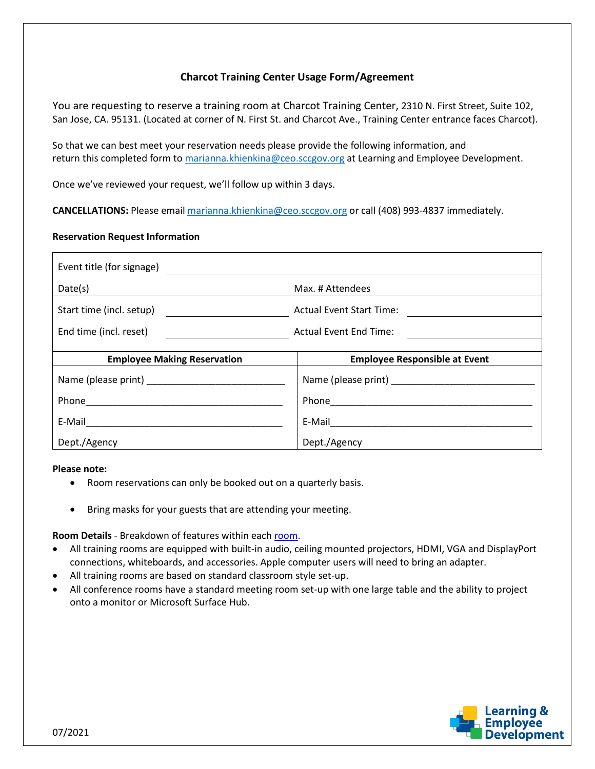# **Charcot Training Center Usage Form/Agreement**

You are requesting to reserve a training room at Charcot Training Center, 2310 N. First Street, Suite 102, San Jose, CA. 95131. (Located at corner of N. First St. and Charcot Ave., Training Center entrance faces Charcot).

So that we can best meet your reservation needs please provide the following information, and return this completed form to marianna. khienkina@ceo.sccgov.org at Learning and Employee Development.

Once we've reviewed your request, we'll follow up within 3 days.

**CANCELLATIONS:** Please email [marianna.khienkina@ceo.sccgov.org](mailto:marianna.khienkina@ceo.sccgov.org) or call (408) 993-4837 immediately.

## **Reservation Request Information**

| Event title (for signage)          |                                         |
|------------------------------------|-----------------------------------------|
| Date(s)                            | Max. # Attendees                        |
| Start time (incl. setup)           | <b>Actual Event Start Time:</b>         |
| End time (incl. reset)             | <b>Actual Event End Time:</b>           |
| <b>Employee Making Reservation</b> | <b>Employee Responsible at Event</b>    |
|                                    |                                         |
|                                    | Name (please print) Name (please print) |
|                                    |                                         |
|                                    | E-Mail ___________________________      |

#### **Please note:**

- Room reservations can only be booked out on a quarterly basis.
- Bring masks for your guests that are attending your meeting.

**Room Details** - Breakdown of features within each [room.](https://www.sccgov.org/sites/led/TC/Pages/home.aspx)

- All training rooms are equipped with built-in audio, ceiling mounted projectors, HDMI, VGA and DisplayPort connections, whiteboards, and accessories. Apple computer users will need to bring an adapter.
- All training rooms are based on standard classroom style set-up.
- All conference rooms have a standard meeting room set-up with one large table and the ability to project onto a monitor or Microsoft Surface Hub.